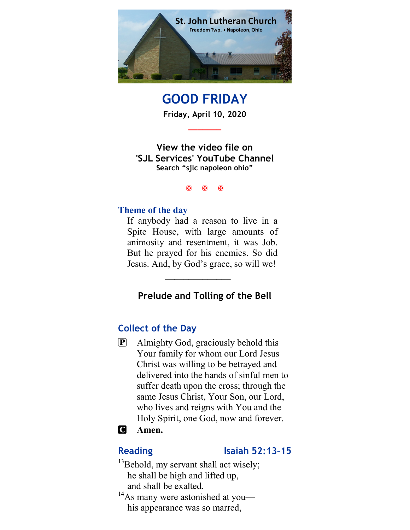

GOOD FRIDAY Friday, April 10, 2020

\_\_\_\_\_\_\_

View the video file on 'SJL Services' YouTube Channel Search "sjlc napoleon ohio"

**K K K** 

### Theme of the day

If anybody had a reason to live in a Spite House, with large amounts of animosity and resentment, it was Job. But he prayed for his enemies. So did Jesus. And, by God's grace, so will we!

## Prelude and Tolling of the Bell

 $\frac{1}{2}$ 

## Collect of the Day

P Almighty God, graciously behold this Your family for whom our Lord Jesus Christ was willing to be betrayed and delivered into the hands of sinful men to suffer death upon the cross; through the same Jesus Christ, Your Son, our Lord, who lives and reigns with You and the Holy Spirit, one God, now and forever.

## **C** Amen.

### Reading Isaiah 52:13-15

- <sup>13</sup>Behold, my servant shall act wisely; he shall be high and lifted up, and shall be exalted.
- $14$ As many were astonished at you his appearance was so marred,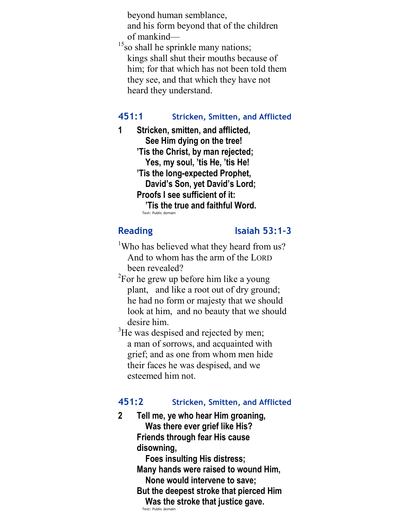beyond human semblance, and his form beyond that of the children of mankind—

<sup>15</sup>so shall he sprinkle many nations; kings shall shut their mouths because of him; for that which has not been told them they see, and that which they have not heard they understand.

## 451:1 Stricken, Smitten, and Afflicted

1 Stricken, smitten, and afflicted, See Him dying on the tree! 'Tis the Christ, by man rejected; Yes, my soul, 'tis He, 'tis He! 'Tis the long-expected Prophet, David's Son, yet David's Lord; Proofs I see sufficient of it: 'Tis the true and faithful Word. Text: Public domain

#### Reading Isaiah 53:1-3

- <sup>1</sup>Who has believed what they heard from us? And to whom has the arm of the LORD been revealed?
- $2$ For he grew up before him like a young plant, and like a root out of dry ground; he had no form or majesty that we should look at him, and no beauty that we should desire him.
- <sup>3</sup>He was despised and rejected by men; a man of sorrows, and acquainted with grief; and as one from whom men hide their faces he was despised, and we esteemed him not.

## 451:2 Stricken, Smitten, and Afflicted

2 Tell me, ye who hear Him groaning, Was there ever grief like His? Friends through fear His cause disowning, Foes insulting His distress; Many hands were raised to wound Him, None would intervene to save; But the deepest stroke that pierced Him Was the stroke that justice gave.

Text: Public domain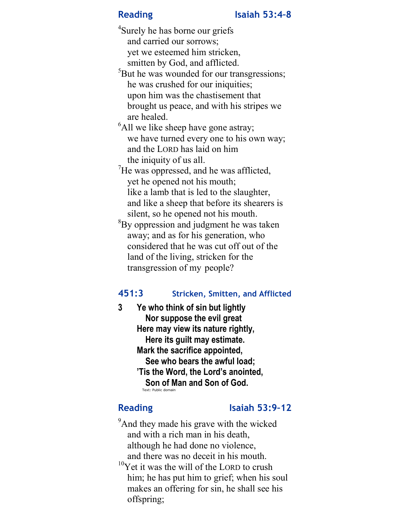<sup>4</sup>Surely he has borne our griefs and carried our sorrows; yet we esteemed him stricken, smitten by God, and afflicted.

<sup>5</sup>But he was wounded for our transgressions; he was crushed for our iniquities; upon him was the chastisement that brought us peace, and with his stripes we are healed.

 $<sup>6</sup>$ All we like sheep have gone astray;</sup> we have turned every one to his own way; and the LORD has laid on him the iniquity of us all.

- $\mathrm{^{7}He}$  was oppressed, and he was afflicted, yet he opened not his mouth; like a lamb that is led to the slaughter, and like a sheep that before its shearers is silent, so he opened not his mouth.
- ${}^{8}$ By oppression and judgment he was taken away; and as for his generation, who considered that he was cut off out of the land of the living, stricken for the transgression of my people?

## 451:3 Stricken, Smitten, and Afflicted

3 Ye who think of sin but lightly Nor suppose the evil great Here may view its nature rightly, Here its guilt may estimate. Mark the sacrifice appointed, See who bears the awful load; 'Tis the Word, the Lord's anointed, Son of Man and Son of God. Text: Public domain

## Reading Isaiah 53:9-12

<sup>9</sup>And they made his grave with the wicked and with a rich man in his death, although he had done no violence, and there was no deceit in his mouth.  $10$ Yet it was the will of the LORD to crush him; he has put him to grief; when his soul makes an offering for sin, he shall see his offspring;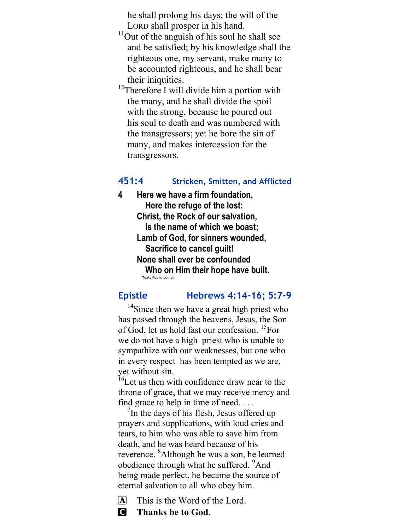he shall prolong his days; the will of the LORD shall prosper in his hand.

- $11$ Out of the anguish of his soul he shall see and be satisfied; by his knowledge shall the righteous one, my servant, make many to be accounted righteous, and he shall bear their iniquities.
- <sup>12</sup>Therefore I will divide him a portion with the many, and he shall divide the spoil with the strong, because he poured out his soul to death and was numbered with the transgressors; yet he bore the sin of many, and makes intercession for the transgressors.

## 451:4 Stricken, Smitten, and Afflicted

4 Here we have a firm foundation, Here the refuge of the lost: Christ, the Rock of our salvation, Is the name of which we boast; Lamb of God, for sinners wounded, Sacrifice to cancel guilt! None shall ever be confounded Who on Him their hope have built. Text: Public domain

## Epistle Hebrews 4:14–16; 5:7–9

<sup>14</sup>Since then we have a great high priest who has passed through the heavens, Jesus, the Son of God, let us hold fast our confession. <sup>15</sup>For we do not have a high priest who is unable to sympathize with our weaknesses, but one who in every respect has been tempted as we are, yet without sin.

<sup>16</sup>Let us then with confidence draw near to the throne of grace, that we may receive mercy and find grace to help in time of need. . . .

<sup>7</sup>In the days of his flesh, Jesus offered up prayers and supplications, with loud cries and tears, to him who was able to save him from death, and he was heard because of his reverence. <sup>8</sup>Although he was a son, he learned obedience through what he suffered. <sup>9</sup>And being made perfect, he became the source of eternal salvation to all who obey him.

 $\overline{A}$  This is the Word of the Lord.

C Thanks be to God.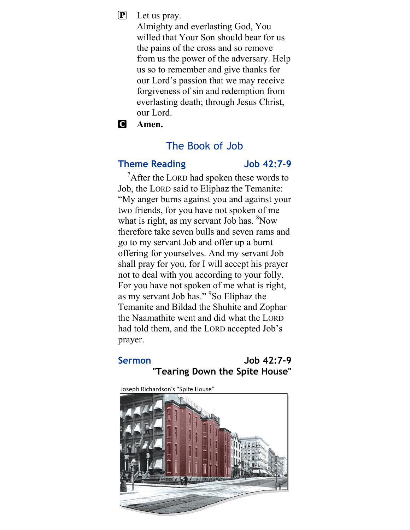$\mathbf{P}$  Let us pray.

Almighty and everlasting God, You willed that Your Son should bear for us the pains of the cross and so remove from us the power of the adversary. Help us so to remember and give thanks for our Lord's passion that we may receive forgiveness of sin and redemption from everlasting death; through Jesus Christ, our Lord.

C Amen.

## The Book of Job

## Theme Reading Theme Reading

 $\chi^7$ After the LORD had spoken these words to Job, the LORD said to Eliphaz the Temanite: "My anger burns against you and against your two friends, for you have not spoken of me what is right, as my servant Job has. <sup>8</sup>Now therefore take seven bulls and seven rams and go to my servant Job and offer up a burnt offering for yourselves. And my servant Job shall pray for you, for I will accept his prayer not to deal with you according to your folly. For you have not spoken of me what is right, as my servant Job has." <sup>9</sup>So Eliphaz the Temanite and Bildad the Shuhite and Zophar the Naamathite went and did what the LORD had told them, and the LORD accepted Job's prayer.

## Sermon Job 42:7-9 "Tearing Down the Spite House"

Joseph Richardson's "Spite House"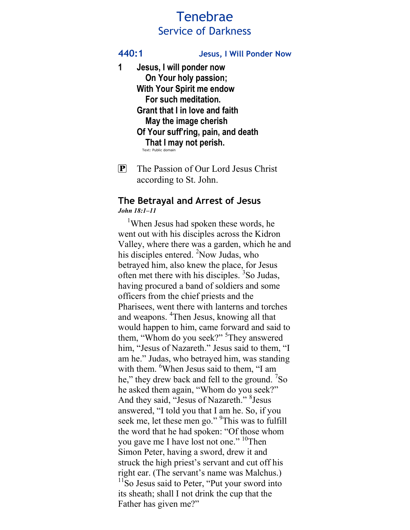# Tenebrae Service of Darkness

440:1 Jesus, I Will Ponder Now

- 1 Jesus, I will ponder now On Your holy passion; With Your Spirit me endow For such meditation. Grant that I in love and faith May the image cherish Of Your suff'ring, pain, and death That I may not perish.
- P The Passion of Our Lord Jesus Christ according to St. John.

#### The Betrayal and Arrest of Jesus John 18:1–11

<sup>1</sup>When Jesus had spoken these words, he went out with his disciples across the Kidron Valley, where there was a garden, which he and his disciples entered. <sup>2</sup>Now Judas, who betrayed him, also knew the place, for Jesus often met there with his disciples. <sup>3</sup>So Judas, having procured a band of soldiers and some officers from the chief priests and the Pharisees, went there with lanterns and torches and weapons. <sup>4</sup>Then Jesus, knowing all that would happen to him, came forward and said to them, "Whom do you seek?" <sup>5</sup>They answered him, "Jesus of Nazareth." Jesus said to them, "I am he." Judas, who betrayed him, was standing with them. <sup>6</sup>When Jesus said to them, "I am he," they drew back and fell to the ground. <sup>7</sup>So he asked them again, "Whom do you seek?" And they said, "Jesus of Nazareth." <sup>8</sup> Jesus answered, "I told you that I am he. So, if you seek me, let these men go." <sup>9</sup>This was to fulfill the word that he had spoken: "Of those whom you gave me I have lost not one." <sup>10</sup>Then Simon Peter, having a sword, drew it and struck the high priest's servant and cut off his right ear. (The servant's name was Malchus.)  $11$ So Jesus said to Peter, "Put your sword into its sheath; shall I not drink the cup that the Father has given me?"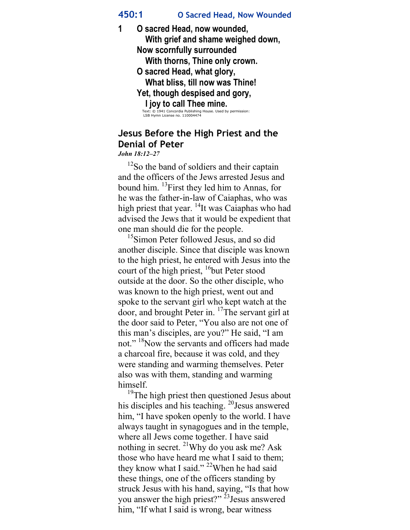### 450:1 O Sacred Head, Now Wounded

1 O sacred Head, now wounded, With grief and shame weighed down, Now scornfully surrounded With thorns, Thine only crown. O sacred Head, what glory, What bliss, till now was Thine! Yet, though despised and gory, I joy to call Thee mine.<br>
Text: © 1941 Concordia Publishing House. Used by permission:<br>
LSB Hymn License no. 110004474

## Jesus Before the High Priest and the Denial of Peter

John 18:12–27

 $12$ So the band of soldiers and their captain and the officers of the Jews arrested Jesus and bound him. <sup>13</sup>First they led him to Annas, for he was the father-in-law of Caiaphas, who was high priest that year.  $^{14}$ It was Caiaphas who had advised the Jews that it would be expedient that one man should die for the people.

<sup>15</sup>Simon Peter followed Jesus, and so did another disciple. Since that disciple was known to the high priest, he entered with Jesus into the court of the high priest,  $16$ but Peter stood outside at the door. So the other disciple, who was known to the high priest, went out and spoke to the servant girl who kept watch at the door, and brought Peter in.  $17$ The servant girl at the door said to Peter, "You also are not one of this man's disciples, are you?" He said, "I am not." <sup>18</sup>Now the servants and officers had made a charcoal fire, because it was cold, and they were standing and warming themselves. Peter also was with them, standing and warming himself.

<sup>19</sup>The high priest then questioned Jesus about his disciples and his teaching. <sup>20</sup> Jesus answered him, "I have spoken openly to the world. I have always taught in synagogues and in the temple, where all Jews come together. I have said nothing in secret. <sup>21</sup>Why do you ask me? Ask those who have heard me what I said to them; they know what I said." <sup>22</sup>When he had said these things, one of the officers standing by struck Jesus with his hand, saying, "Is that how you answer the high priest?" <sup>23</sup>Jesus answered him, "If what I said is wrong, bear witness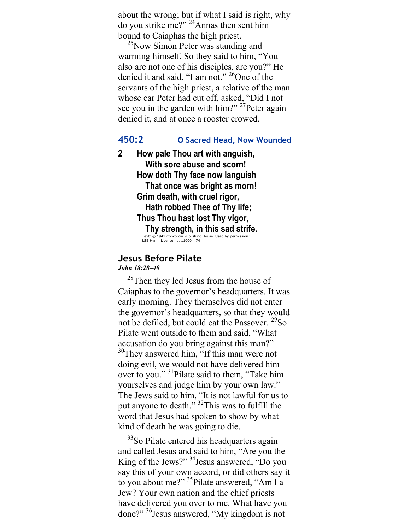about the wrong; but if what I said is right, why do you strike me?" <sup>24</sup>Annas then sent him bound to Caiaphas the high priest.

<sup>25</sup>Now Simon Peter was standing and warming himself. So they said to him, "You also are not one of his disciples, are you?" He denied it and said, "I am not." <sup>26</sup>One of the servants of the high priest, a relative of the man whose ear Peter had cut off, asked, "Did I not see you in the garden with him?"  $27$ Peter again denied it, and at once a rooster crowed.

#### 450:2 O Sacred Head, Now Wounded

2 How pale Thou art with anguish, With sore abuse and scorn! How doth Thy face now languish That once was bright as morn! Grim death, with cruel rigor, Hath robbed Thee of Thy life; Thus Thou hast lost Thy vigor, Thy strength, in this sad strife. Text: © 1941 Concordia Publishing House. Used by permission: LSB Hymn License no. 110004474

#### Jesus Before Pilate

John 18:28–40

<sup>28</sup>Then they led Jesus from the house of Caiaphas to the governor's headquarters. It was early morning. They themselves did not enter the governor's headquarters, so that they would not be defiled, but could eat the Passover. <sup>29</sup>So Pilate went outside to them and said, "What accusation do you bring against this man?" <sup>30</sup>They answered him, "If this man were not doing evil, we would not have delivered him over to you."<sup>31</sup>Pilate said to them, "Take him yourselves and judge him by your own law." The Jews said to him, "It is not lawful for us to put anyone to death." <sup>32</sup>This was to fulfill the word that Jesus had spoken to show by what kind of death he was going to die.

<sup>33</sup>So Pilate entered his headquarters again and called Jesus and said to him, "Are you the King of the Jews?" <sup>34</sup>Jesus answered, "Do you say this of your own accord, or did others say it to you about me?" <sup>35</sup>Pilate answered, "Am I a Jew? Your own nation and the chief priests have delivered you over to me. What have you done?" <sup>36</sup>Jesus answered, "My kingdom is not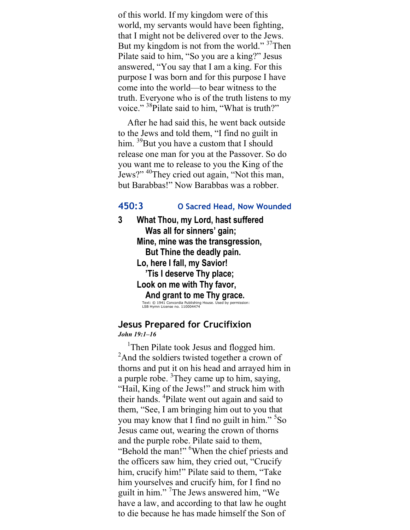of this world. If my kingdom were of this world, my servants would have been fighting, that I might not be delivered over to the Jews. But my kingdom is not from the world."  $37$ Then Pilate said to him, "So you are a king?" Jesus answered, "You say that I am a king. For this purpose I was born and for this purpose I have come into the world—to bear witness to the truth. Everyone who is of the truth listens to my voice." <sup>38</sup>Pilate said to him, "What is truth?"

 After he had said this, he went back outside to the Jews and told them, "I find no guilt in him.  $39$ But you have a custom that I should release one man for you at the Passover. So do you want me to release to you the King of the Jews?" <sup>40</sup>They cried out again, "Not this man, but Barabbas!" Now Barabbas was a robber.

### 450:3 O Sacred Head, Now Wounded

3 What Thou, my Lord, hast suffered Was all for sinners' gain; Mine, mine was the transgression, But Thine the deadly pain. Lo, here I fall, my Savior! 'Tis I deserve Thy place; Look on me with Thy favor, And grant to me Thy grace.<br>
Text: © 1941 Concordia Publishing House. Used by permission:<br>
LSB Hymn License no. 110004474

#### Jesus Prepared for Crucifixion John 19:1–16

<sup>1</sup>Then Pilate took Jesus and flogged him. <sup>2</sup>And the soldiers twisted together a crown of thorns and put it on his head and arrayed him in a purple robe.  ${}^{3}$ They came up to him, saying, "Hail, King of the Jews!" and struck him with their hands. <sup>4</sup>Pilate went out again and said to them, "See, I am bringing him out to you that you may know that I find no guilt in him." <sup>5</sup>So Jesus came out, wearing the crown of thorns and the purple robe. Pilate said to them, "Behold the man!" <sup>6</sup>When the chief priests and the officers saw him, they cried out, "Crucify him, crucify him!" Pilate said to them, "Take him yourselves and crucify him, for I find no guilt in him." <sup>7</sup>The Jews answered him, "We have a law, and according to that law he ought to die because he has made himself the Son of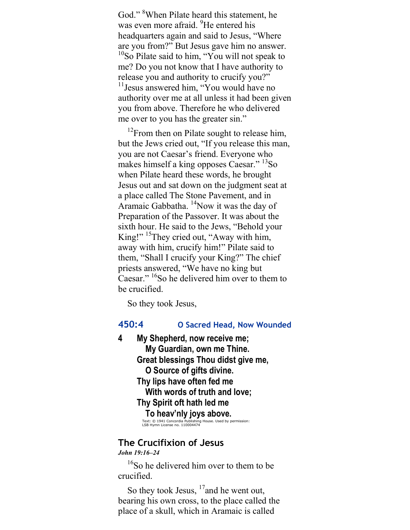God."<sup>8</sup>When Pilate heard this statement, he was even more afraid. <sup>9</sup>He entered his headquarters again and said to Jesus, "Where are you from?" But Jesus gave him no answer.  $10$ So Pilate said to him, "You will not speak to me? Do you not know that I have authority to release you and authority to crucify you?" <sup>11</sup> Jesus answered him, "You would have no authority over me at all unless it had been given you from above. Therefore he who delivered me over to you has the greater sin."

 $12$ From then on Pilate sought to release him, but the Jews cried out, "If you release this man, you are not Caesar's friend. Everyone who makes himself a king opposes Caesar." <sup>13</sup>So when Pilate heard these words, he brought Jesus out and sat down on the judgment seat at a place called The Stone Pavement, and in Aramaic Gabbatha. <sup>14</sup>Now it was the day of Preparation of the Passover. It was about the sixth hour. He said to the Jews, "Behold your King!" <sup>15</sup>They cried out, "Away with him, away with him, crucify him!" Pilate said to them, "Shall I crucify your King?" The chief priests answered, "We have no king but Caesar." <sup>16</sup>So he delivered him over to them to be crucified.

So they took Jesus,

## 450:4 O Sacred Head, Now Wounded

4 My Shepherd, now receive me; My Guardian, own me Thine. Great blessings Thou didst give me, O Source of gifts divine. Thy lips have often fed me With words of truth and love; Thy Spirit oft hath led me To heav'nly joys above.<br>Text: © 1941 Concordia Publishing House. Used by permission:<br>LSB Hymn License no. 110004474

## The Crucifixion of Jesus

John 19:16–24

<sup>16</sup>So he delivered him over to them to be crucified.

So they took Jesus,  $17$  and he went out, bearing his own cross, to the place called the place of a skull, which in Aramaic is called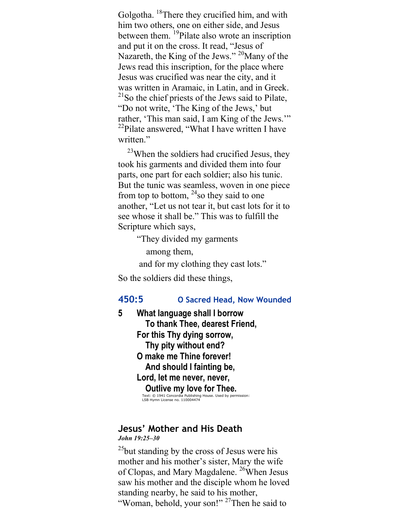Golgotha. <sup>18</sup>There they crucified him, and with him two others, one on either side, and Jesus between them. <sup>19</sup>Pilate also wrote an inscription and put it on the cross. It read, "Jesus of Nazareth, the King of the Jews."  $^{20}$ Many of the Jews read this inscription, for the place where Jesus was crucified was near the city, and it was written in Aramaic, in Latin, and in Greek. <sup>21</sup>So the chief priests of the Jews said to Pilate, "Do not write, 'The King of the Jews,' but rather, 'This man said, I am King of the Jews.'"  $22$ Pilate answered, "What I have written I have written."

<sup>23</sup>When the soldiers had crucified Jesus, they took his garments and divided them into four parts, one part for each soldier; also his tunic. But the tunic was seamless, woven in one piece from top to bottom,  $24$  so they said to one another, "Let us not tear it, but cast lots for it to see whose it shall be." This was to fulfill the Scripture which says,

"They divided my garments

among them,

and for my clothing they cast lots."

So the soldiers did these things,

#### 450:5 O Sacred Head, Now Wounded

5 What language shall I borrow To thank Thee, dearest Friend, For this Thy dying sorrow, Thy pity without end? O make me Thine forever! And should I fainting be, Lord, let me never, never, Outlive my love for Thee.<br>
Text: © 1941 Concordia Publishing House. Used by permission:<br>LSB Hymn License no. 110004474

## Jesus' Mother and His Death

#### John 19:25–30

 $^{25}$ but standing by the cross of Jesus were his mother and his mother's sister, Mary the wife of Clopas, and Mary Magdalene. <sup>26</sup>When Jesus saw his mother and the disciple whom he loved standing nearby, he said to his mother, "Woman, behold, your son!"<sup>27</sup>Then he said to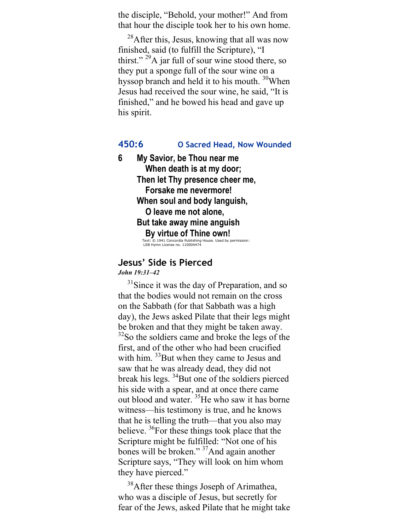the disciple, "Behold, your mother!" And from that hour the disciple took her to his own home.

 $^{28}$ After this, Jesus, knowing that all was now finished, said (to fulfill the Scripture), "I thirst." <sup>29</sup>A jar full of sour wine stood there, so they put a sponge full of the sour wine on a hyssop branch and held it to his mouth. <sup>30</sup>When Jesus had received the sour wine, he said, "It is finished," and he bowed his head and gave up his spirit.

### 450:6 O Sacred Head, Now Wounded

6 My Savior, be Thou near me When death is at my door; Then let Thy presence cheer me, Forsake me nevermore! When soul and body languish, O leave me not alone, But take away mine anguish By virtue of Thine own! Text: © 1941 Concordia Publishing House. Used by permission: LSB Hymn License no. 110004474

#### Jesus' Side is Pierced John 19:31–42

 $31$ Since it was the day of Preparation, and so that the bodies would not remain on the cross on the Sabbath (for that Sabbath was a high day), the Jews asked Pilate that their legs might be broken and that they might be taken away.  $32$ So the soldiers came and broke the legs of the first, and of the other who had been crucified with him. <sup>33</sup>But when they came to Jesus and saw that he was already dead, they did not break his legs.  $34$ But one of the soldiers pierced his side with a spear, and at once there came out blood and water. <sup>35</sup>He who saw it has borne witness—his testimony is true, and he knows that he is telling the truth—that you also may believe.  ${}^{36}$ For these things took place that the Scripture might be fulfilled: "Not one of his bones will be broken."<sup>37</sup>And again another Scripture says, "They will look on him whom they have pierced."

<sup>38</sup>After these things Joseph of Arimathea, who was a disciple of Jesus, but secretly for fear of the Jews, asked Pilate that he might take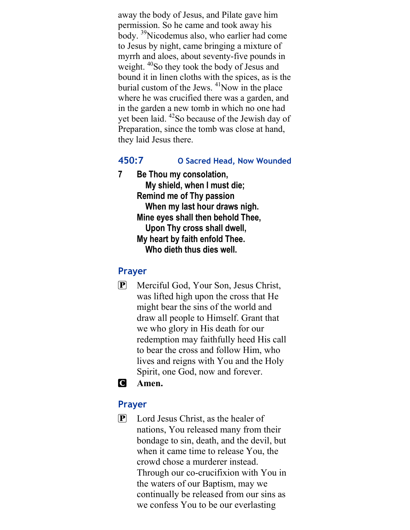away the body of Jesus, and Pilate gave him permission. So he came and took away his body. <sup>39</sup>Nicodemus also, who earlier had come to Jesus by night, came bringing a mixture of myrrh and aloes, about seventy-five pounds in weight. <sup>40</sup>So they took the body of Jesus and bound it in linen cloths with the spices, as is the burial custom of the Jews.  $41$ Now in the place where he was crucified there was a garden, and in the garden a new tomb in which no one had yet been laid. <sup>42</sup>So because of the Jewish day of Preparation, since the tomb was close at hand, they laid Jesus there.

## 450:7 O Sacred Head, Now Wounded

7 Be Thou my consolation, My shield, when I must die; Remind me of Thy passion When my last hour draws nigh. Mine eyes shall then behold Thee, Upon Thy cross shall dwell, My heart by faith enfold Thee. Who dieth thus dies well.

## Prayer

- P Merciful God, Your Son, Jesus Christ, was lifted high upon the cross that He might bear the sins of the world and draw all people to Himself. Grant that we who glory in His death for our redemption may faithfully heed His call to bear the cross and follow Him, who lives and reigns with You and the Holy Spirit, one God, now and forever.
- C Amen.

## Prayer

P Lord Jesus Christ, as the healer of nations, You released many from their bondage to sin, death, and the devil, but when it came time to release You, the crowd chose a murderer instead. Through our co-crucifixion with You in the waters of our Baptism, may we continually be released from our sins as we confess You to be our everlasting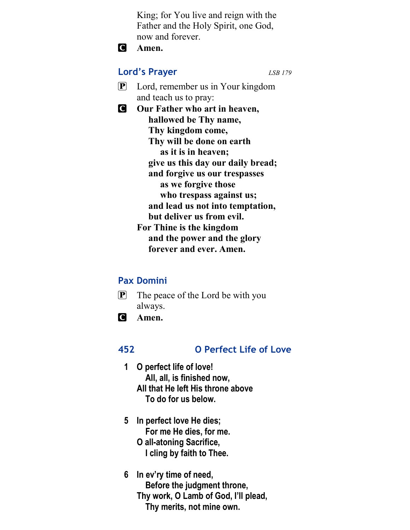King; for You live and reign with the Father and the Holy Spirit, one God, now and forever.

**C** Amen.

## Lord's Prayer LSB 179

- 
- P Lord, remember us in Your kingdom and teach us to pray:
- **C** Our Father who art in heaven, hallowed be Thy name, Thy kingdom come, Thy will be done on earth as it is in heaven; give us this day our daily bread; and forgive us our trespasses as we forgive those who trespass against us; and lead us not into temptation, but deliver us from evil. For Thine is the kingdom and the power and the glory forever and ever. Amen.

## Pax Domini

- $\mathbf{P}$  The peace of the Lord be with you always.
- C Amen.

## 452 O Perfect Life of Love

- 1 O perfect life of love! All, all, is finished now, All that He left His throne above To do for us below.
- 5 In perfect love He dies; For me He dies, for me. O all-atoning Sacrifice, I cling by faith to Thee.
- 6 In ev'ry time of need, Before the judgment throne, Thy work, O Lamb of God, I'll plead, Thy merits, not mine own.